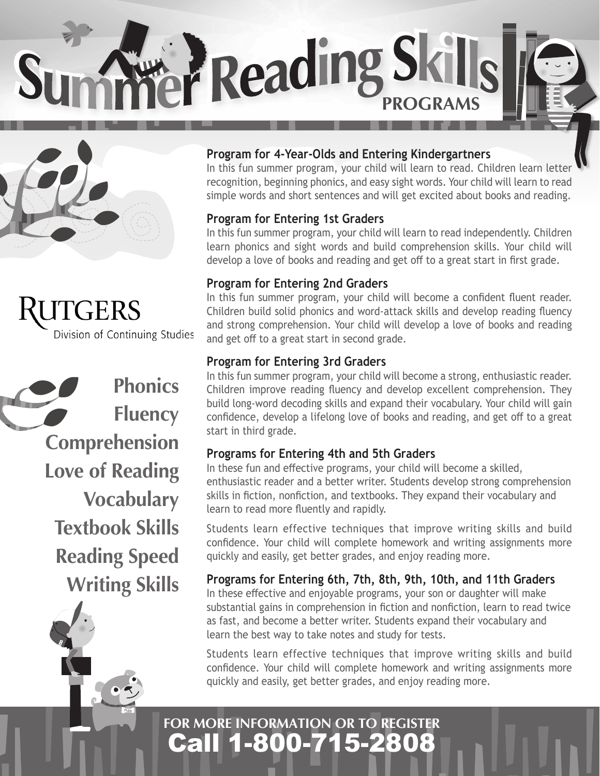**PReading Skills** 



**TGERS** Division of Continuing Studies

**Phonics Fluency Comprehension Love of Reading Vocabulary Textbook Skills Reading Speed Writing Skills**

fido

#### **Program for 4-Year-Olds and Entering Kindergartners**

In this fun summer program, your child will learn to read. Children learn letter recognition, beginning phonics, and easy sight words. Your child will learn to read simple words and short sentences and will get excited about books and reading.

#### **Program for Entering 1st Graders**

In this fun summer program, your child will learn to read independently. Children learn phonics and sight words and build comprehension skills. Your child will develop a love of books and reading and get off to a great start in first grade.

#### **Program for Entering 2nd Graders**

In this fun summer program, your child will become a confident fluent reader. Children build solid phonics and word-attack skills and develop reading fluency and strong comprehension. Your child will develop a love of books and reading and get off to a great start in second grade.

#### **Program for Entering 3rd Graders**

In this fun summer program, your child will become a strong, enthusiastic reader. Children improve reading fluency and develop excellent comprehension. They build long-word decoding skills and expand their vocabulary. Your child will gain confidence, develop a lifelong love of books and reading, and get off to a great start in third grade.

#### **Programs for Entering 4th and 5th Graders**

In these fun and effective programs, your child will become a skilled, enthusiastic reader and a better writer. Students develop strong comprehension skills in fiction, nonfiction, and textbooks. They expand their vocabulary and learn to read more fluently and rapidly.

Students learn effective techniques that improve writing skills and build confidence. Your child will complete homework and writing assignments more quickly and easily, get better grades, and enjoy reading more.

#### **Programs for Entering 6th, 7th, 8th, 9th, 10th, and 11th Graders**

In these effective and enjoyable programs, your son or daughter will make substantial gains in comprehension in fiction and nonfiction, learn to read twice as fast, and become a better writer. Students expand their vocabulary and learn the best way to take notes and study for tests.

Students learn effective techniques that improve writing skills and build confidence. Your child will complete homework and writing assignments more quickly and easily, get better grades, and enjoy reading more.

## Call 1-800-715-2808 **FOR MORE INFORMATION OR TO REGISTER**